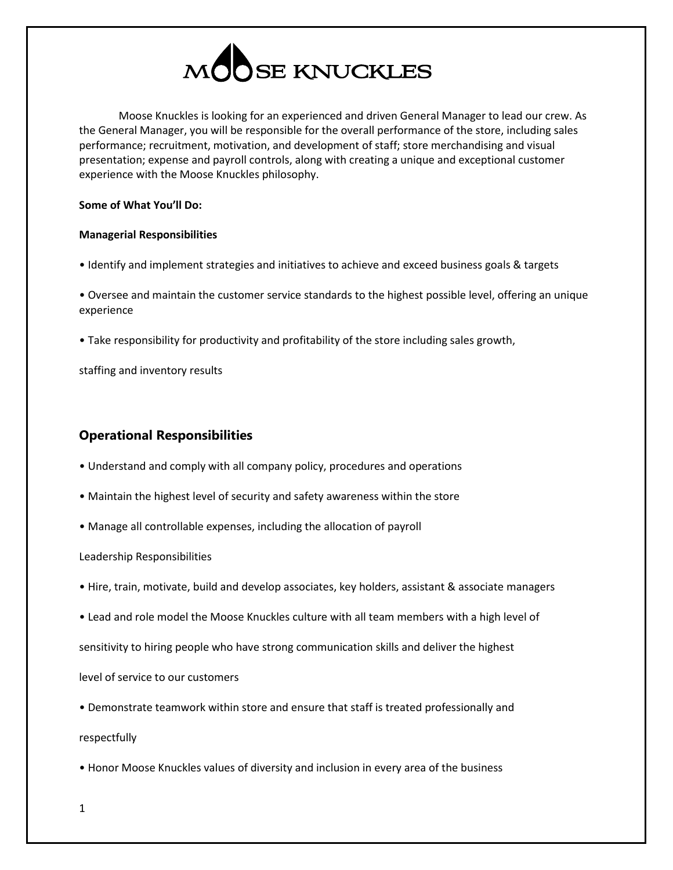

Moose Knuckles is looking for an experienced and driven General Manager to lead our crew. As the General Manager, you will be responsible for the overall performance of the store, including sales performance; recruitment, motivation, and development of staff; store merchandising and visual presentation; expense and payroll controls, along with creating a unique and exceptional customer experience with the Moose Knuckles philosophy.

### **Some of What You'll Do:**

### **Managerial Responsibilities**

• Identify and implement strategies and initiatives to achieve and exceed business goals & targets

• Oversee and maintain the customer service standards to the highest possible level, offering an unique experience

• Take responsibility for productivity and profitability of the store including sales growth,

staffing and inventory results

# **Operational Responsibilities**

- Understand and comply with all company policy, procedures and operations
- Maintain the highest level of security and safety awareness within the store
- Manage all controllable expenses, including the allocation of payroll

Leadership Responsibilities

- Hire, train, motivate, build and develop associates, key holders, assistant & associate managers
- Lead and role model the Moose Knuckles culture with all team members with a high level of

sensitivity to hiring people who have strong communication skills and deliver the highest

level of service to our customers

• Demonstrate teamwork within store and ensure that staff is treated professionally and

respectfully

• Honor Moose Knuckles values of diversity and inclusion in every area of the business